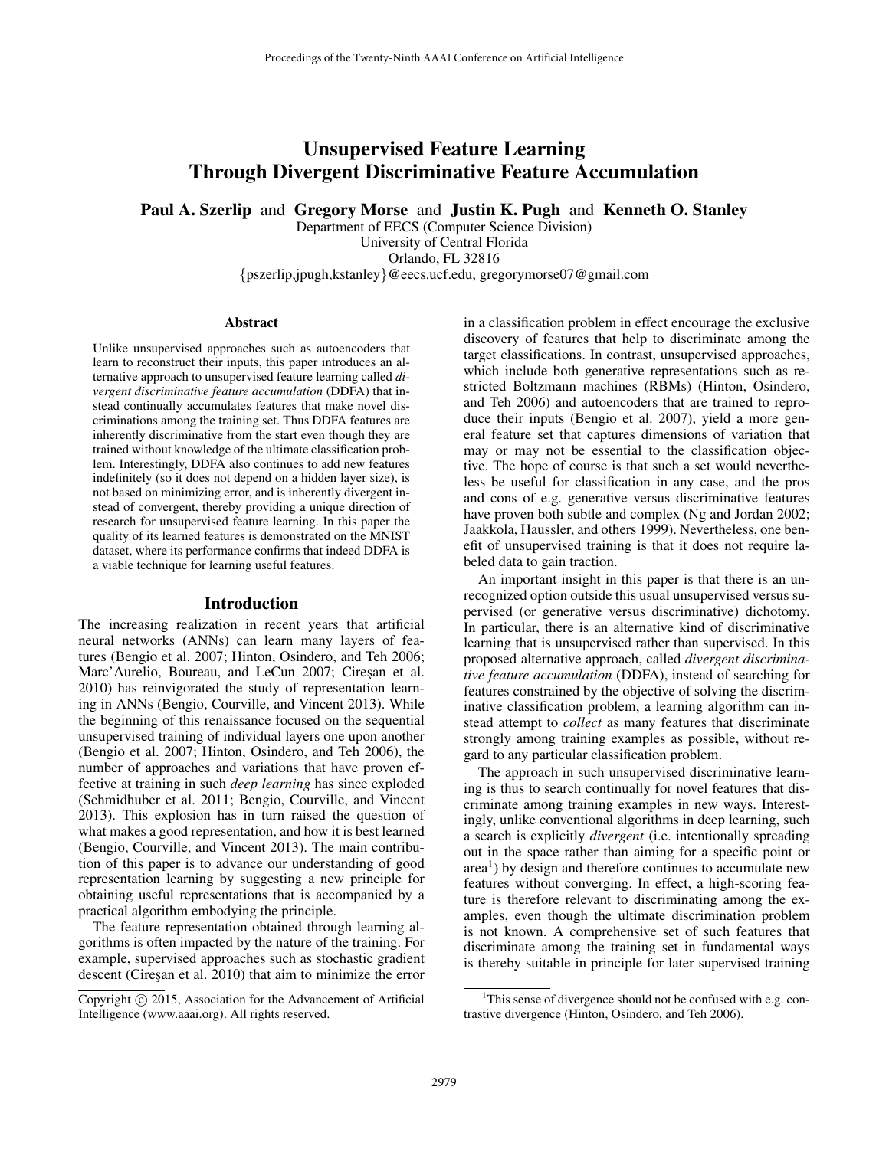# Unsupervised Feature Learning Through Divergent Discriminative Feature Accumulation

Paul A. Szerlip and Gregory Morse and Justin K. Pugh and Kenneth O. Stanley

Department of EECS (Computer Science Division) University of Central Florida Orlando, FL 32816 {pszerlip,jpugh,kstanley}@eecs.ucf.edu, gregorymorse07@gmail.com

#### **Abstract**

Unlike unsupervised approaches such as autoencoders that learn to reconstruct their inputs, this paper introduces an alternative approach to unsupervised feature learning called *divergent discriminative feature accumulation* (DDFA) that instead continually accumulates features that make novel discriminations among the training set. Thus DDFA features are inherently discriminative from the start even though they are trained without knowledge of the ultimate classification problem. Interestingly, DDFA also continues to add new features indefinitely (so it does not depend on a hidden layer size), is not based on minimizing error, and is inherently divergent instead of convergent, thereby providing a unique direction of research for unsupervised feature learning. In this paper the quality of its learned features is demonstrated on the MNIST dataset, where its performance confirms that indeed DDFA is a viable technique for learning useful features.

#### Introduction

The increasing realization in recent years that artificial neural networks (ANNs) can learn many layers of features (Bengio et al. 2007; Hinton, Osindero, and Teh 2006; Marc'Aurelio, Boureau, and LeCun 2007; Ciresan et al. 2010) has reinvigorated the study of representation learning in ANNs (Bengio, Courville, and Vincent 2013). While the beginning of this renaissance focused on the sequential unsupervised training of individual layers one upon another (Bengio et al. 2007; Hinton, Osindero, and Teh 2006), the number of approaches and variations that have proven effective at training in such *deep learning* has since exploded (Schmidhuber et al. 2011; Bengio, Courville, and Vincent 2013). This explosion has in turn raised the question of what makes a good representation, and how it is best learned (Bengio, Courville, and Vincent 2013). The main contribution of this paper is to advance our understanding of good representation learning by suggesting a new principle for obtaining useful representations that is accompanied by a practical algorithm embodying the principle.

The feature representation obtained through learning algorithms is often impacted by the nature of the training. For example, supervised approaches such as stochastic gradient descent (Cireşan et al. 2010) that aim to minimize the error

in a classification problem in effect encourage the exclusive discovery of features that help to discriminate among the target classifications. In contrast, unsupervised approaches, which include both generative representations such as restricted Boltzmann machines (RBMs) (Hinton, Osindero, and Teh 2006) and autoencoders that are trained to reproduce their inputs (Bengio et al. 2007), yield a more general feature set that captures dimensions of variation that may or may not be essential to the classification objective. The hope of course is that such a set would nevertheless be useful for classification in any case, and the pros and cons of e.g. generative versus discriminative features have proven both subtle and complex (Ng and Jordan 2002; Jaakkola, Haussler, and others 1999). Nevertheless, one benefit of unsupervised training is that it does not require labeled data to gain traction.

An important insight in this paper is that there is an unrecognized option outside this usual unsupervised versus supervised (or generative versus discriminative) dichotomy. In particular, there is an alternative kind of discriminative learning that is unsupervised rather than supervised. In this proposed alternative approach, called *divergent discriminative feature accumulation* (DDFA), instead of searching for features constrained by the objective of solving the discriminative classification problem, a learning algorithm can instead attempt to *collect* as many features that discriminate strongly among training examples as possible, without regard to any particular classification problem.

The approach in such unsupervised discriminative learning is thus to search continually for novel features that discriminate among training examples in new ways. Interestingly, unlike conventional algorithms in deep learning, such a search is explicitly *divergent* (i.e. intentionally spreading out in the space rather than aiming for a specific point or  $area<sup>1</sup>$ ) by design and therefore continues to accumulate new features without converging. In effect, a high-scoring feature is therefore relevant to discriminating among the examples, even though the ultimate discrimination problem is not known. A comprehensive set of such features that discriminate among the training set in fundamental ways is thereby suitable in principle for later supervised training

Copyright (c) 2015, Association for the Advancement of Artificial Intelligence (www.aaai.org). All rights reserved.

<sup>&</sup>lt;sup>1</sup>This sense of divergence should not be confused with e.g. contrastive divergence (Hinton, Osindero, and Teh 2006).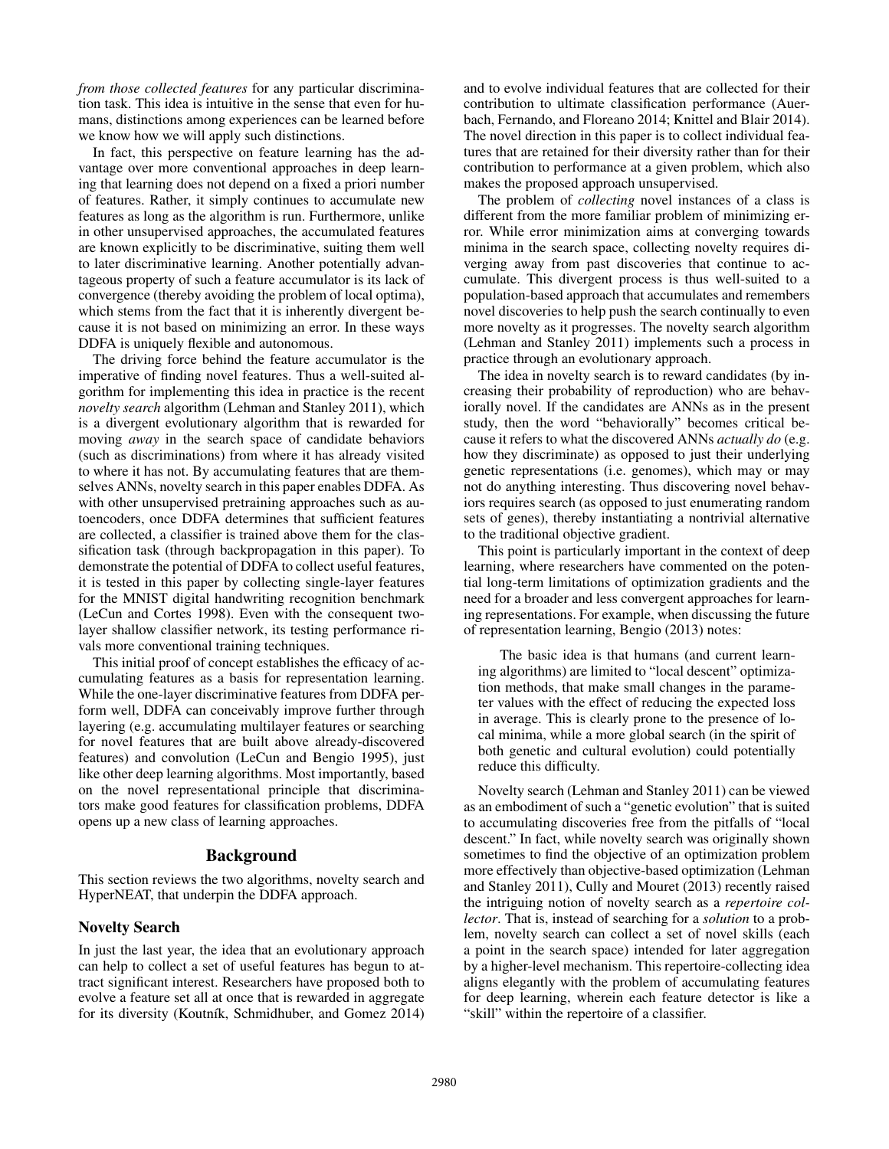*from those collected features* for any particular discrimination task. This idea is intuitive in the sense that even for humans, distinctions among experiences can be learned before we know how we will apply such distinctions.

In fact, this perspective on feature learning has the advantage over more conventional approaches in deep learning that learning does not depend on a fixed a priori number of features. Rather, it simply continues to accumulate new features as long as the algorithm is run. Furthermore, unlike in other unsupervised approaches, the accumulated features are known explicitly to be discriminative, suiting them well to later discriminative learning. Another potentially advantageous property of such a feature accumulator is its lack of convergence (thereby avoiding the problem of local optima), which stems from the fact that it is inherently divergent because it is not based on minimizing an error. In these ways DDFA is uniquely flexible and autonomous.

The driving force behind the feature accumulator is the imperative of finding novel features. Thus a well-suited algorithm for implementing this idea in practice is the recent *novelty search* algorithm (Lehman and Stanley 2011), which is a divergent evolutionary algorithm that is rewarded for moving *away* in the search space of candidate behaviors (such as discriminations) from where it has already visited to where it has not. By accumulating features that are themselves ANNs, novelty search in this paper enables DDFA. As with other unsupervised pretraining approaches such as autoencoders, once DDFA determines that sufficient features are collected, a classifier is trained above them for the classification task (through backpropagation in this paper). To demonstrate the potential of DDFA to collect useful features, it is tested in this paper by collecting single-layer features for the MNIST digital handwriting recognition benchmark (LeCun and Cortes 1998). Even with the consequent twolayer shallow classifier network, its testing performance rivals more conventional training techniques.

This initial proof of concept establishes the efficacy of accumulating features as a basis for representation learning. While the one-layer discriminative features from DDFA perform well, DDFA can conceivably improve further through layering (e.g. accumulating multilayer features or searching for novel features that are built above already-discovered features) and convolution (LeCun and Bengio 1995), just like other deep learning algorithms. Most importantly, based on the novel representational principle that discriminators make good features for classification problems, DDFA opens up a new class of learning approaches.

## Background

This section reviews the two algorithms, novelty search and HyperNEAT, that underpin the DDFA approach.

#### Novelty Search

In just the last year, the idea that an evolutionary approach can help to collect a set of useful features has begun to attract significant interest. Researchers have proposed both to evolve a feature set all at once that is rewarded in aggregate for its diversity (Koutník, Schmidhuber, and Gomez 2014)

and to evolve individual features that are collected for their contribution to ultimate classification performance (Auerbach, Fernando, and Floreano 2014; Knittel and Blair 2014). The novel direction in this paper is to collect individual features that are retained for their diversity rather than for their contribution to performance at a given problem, which also makes the proposed approach unsupervised.

The problem of *collecting* novel instances of a class is different from the more familiar problem of minimizing error. While error minimization aims at converging towards minima in the search space, collecting novelty requires diverging away from past discoveries that continue to accumulate. This divergent process is thus well-suited to a population-based approach that accumulates and remembers novel discoveries to help push the search continually to even more novelty as it progresses. The novelty search algorithm (Lehman and Stanley 2011) implements such a process in practice through an evolutionary approach.

The idea in novelty search is to reward candidates (by increasing their probability of reproduction) who are behaviorally novel. If the candidates are ANNs as in the present study, then the word "behaviorally" becomes critical because it refers to what the discovered ANNs *actually do* (e.g. how they discriminate) as opposed to just their underlying genetic representations (i.e. genomes), which may or may not do anything interesting. Thus discovering novel behaviors requires search (as opposed to just enumerating random sets of genes), thereby instantiating a nontrivial alternative to the traditional objective gradient.

This point is particularly important in the context of deep learning, where researchers have commented on the potential long-term limitations of optimization gradients and the need for a broader and less convergent approaches for learning representations. For example, when discussing the future of representation learning, Bengio (2013) notes:

The basic idea is that humans (and current learning algorithms) are limited to "local descent" optimization methods, that make small changes in the parameter values with the effect of reducing the expected loss in average. This is clearly prone to the presence of local minima, while a more global search (in the spirit of both genetic and cultural evolution) could potentially reduce this difficulty.

Novelty search (Lehman and Stanley 2011) can be viewed as an embodiment of such a "genetic evolution" that is suited to accumulating discoveries free from the pitfalls of "local descent." In fact, while novelty search was originally shown sometimes to find the objective of an optimization problem more effectively than objective-based optimization (Lehman and Stanley 2011), Cully and Mouret (2013) recently raised the intriguing notion of novelty search as a *repertoire collector*. That is, instead of searching for a *solution* to a problem, novelty search can collect a set of novel skills (each a point in the search space) intended for later aggregation by a higher-level mechanism. This repertoire-collecting idea aligns elegantly with the problem of accumulating features for deep learning, wherein each feature detector is like a "skill" within the repertoire of a classifier.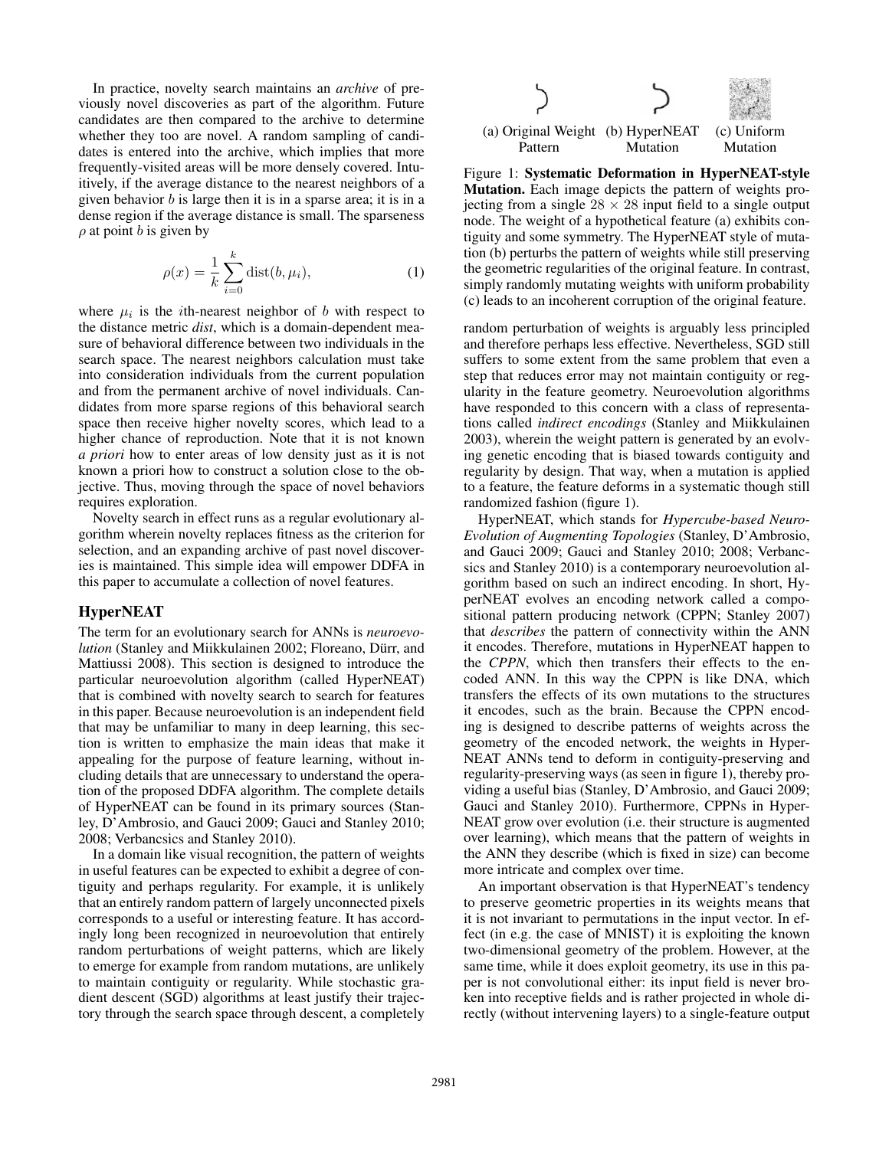In practice, novelty search maintains an *archive* of previously novel discoveries as part of the algorithm. Future candidates are then compared to the archive to determine whether they too are novel. A random sampling of candidates is entered into the archive, which implies that more frequently-visited areas will be more densely covered. Intuitively, if the average distance to the nearest neighbors of a given behavior  $b$  is large then it is in a sparse area; it is in a dense region if the average distance is small. The sparseness  $\rho$  at point b is given by

$$
\rho(x) = \frac{1}{k} \sum_{i=0}^{k} \text{dist}(b, \mu_i),\tag{1}
$$

where  $\mu_i$  is the *i*th-nearest neighbor of *b* with respect to the distance metric *dist*, which is a domain-dependent measure of behavioral difference between two individuals in the search space. The nearest neighbors calculation must take into consideration individuals from the current population and from the permanent archive of novel individuals. Candidates from more sparse regions of this behavioral search space then receive higher novelty scores, which lead to a higher chance of reproduction. Note that it is not known *a priori* how to enter areas of low density just as it is not known a priori how to construct a solution close to the objective. Thus, moving through the space of novel behaviors requires exploration.

Novelty search in effect runs as a regular evolutionary algorithm wherein novelty replaces fitness as the criterion for selection, and an expanding archive of past novel discoveries is maintained. This simple idea will empower DDFA in this paper to accumulate a collection of novel features.

## HyperNEAT

The term for an evolutionary search for ANNs is *neuroevolution* (Stanley and Miikkulainen 2002; Floreano, Dürr, and Mattiussi 2008). This section is designed to introduce the particular neuroevolution algorithm (called HyperNEAT) that is combined with novelty search to search for features in this paper. Because neuroevolution is an independent field that may be unfamiliar to many in deep learning, this section is written to emphasize the main ideas that make it appealing for the purpose of feature learning, without including details that are unnecessary to understand the operation of the proposed DDFA algorithm. The complete details of HyperNEAT can be found in its primary sources (Stanley, D'Ambrosio, and Gauci 2009; Gauci and Stanley 2010; 2008; Verbancsics and Stanley 2010).

In a domain like visual recognition, the pattern of weights in useful features can be expected to exhibit a degree of contiguity and perhaps regularity. For example, it is unlikely that an entirely random pattern of largely unconnected pixels corresponds to a useful or interesting feature. It has accordingly long been recognized in neuroevolution that entirely random perturbations of weight patterns, which are likely to emerge for example from random mutations, are unlikely to maintain contiguity or regularity. While stochastic gradient descent (SGD) algorithms at least justify their trajectory through the search space through descent, a completely



Figure 1: Systematic Deformation in HyperNEAT-style Mutation. Each image depicts the pattern of weights projecting from a single  $28 \times 28$  input field to a single output node. The weight of a hypothetical feature (a) exhibits contiguity and some symmetry. The HyperNEAT style of mutation (b) perturbs the pattern of weights while still preserving the geometric regularities of the original feature. In contrast, simply randomly mutating weights with uniform probability (c) leads to an incoherent corruption of the original feature.

random perturbation of weights is arguably less principled and therefore perhaps less effective. Nevertheless, SGD still suffers to some extent from the same problem that even a step that reduces error may not maintain contiguity or regularity in the feature geometry. Neuroevolution algorithms have responded to this concern with a class of representations called *indirect encodings* (Stanley and Miikkulainen 2003), wherein the weight pattern is generated by an evolving genetic encoding that is biased towards contiguity and regularity by design. That way, when a mutation is applied to a feature, the feature deforms in a systematic though still randomized fashion (figure 1).

HyperNEAT, which stands for *Hypercube-based Neuro-Evolution of Augmenting Topologies* (Stanley, D'Ambrosio, and Gauci 2009; Gauci and Stanley 2010; 2008; Verbancsics and Stanley 2010) is a contemporary neuroevolution algorithm based on such an indirect encoding. In short, HyperNEAT evolves an encoding network called a compositional pattern producing network (CPPN; Stanley 2007) that *describes* the pattern of connectivity within the ANN it encodes. Therefore, mutations in HyperNEAT happen to the *CPPN*, which then transfers their effects to the encoded ANN. In this way the CPPN is like DNA, which transfers the effects of its own mutations to the structures it encodes, such as the brain. Because the CPPN encoding is designed to describe patterns of weights across the geometry of the encoded network, the weights in Hyper-NEAT ANNs tend to deform in contiguity-preserving and regularity-preserving ways (as seen in figure 1), thereby providing a useful bias (Stanley, D'Ambrosio, and Gauci 2009; Gauci and Stanley 2010). Furthermore, CPPNs in Hyper-NEAT grow over evolution (i.e. their structure is augmented over learning), which means that the pattern of weights in the ANN they describe (which is fixed in size) can become more intricate and complex over time.

An important observation is that HyperNEAT's tendency to preserve geometric properties in its weights means that it is not invariant to permutations in the input vector. In effect (in e.g. the case of MNIST) it is exploiting the known two-dimensional geometry of the problem. However, at the same time, while it does exploit geometry, its use in this paper is not convolutional either: its input field is never broken into receptive fields and is rather projected in whole directly (without intervening layers) to a single-feature output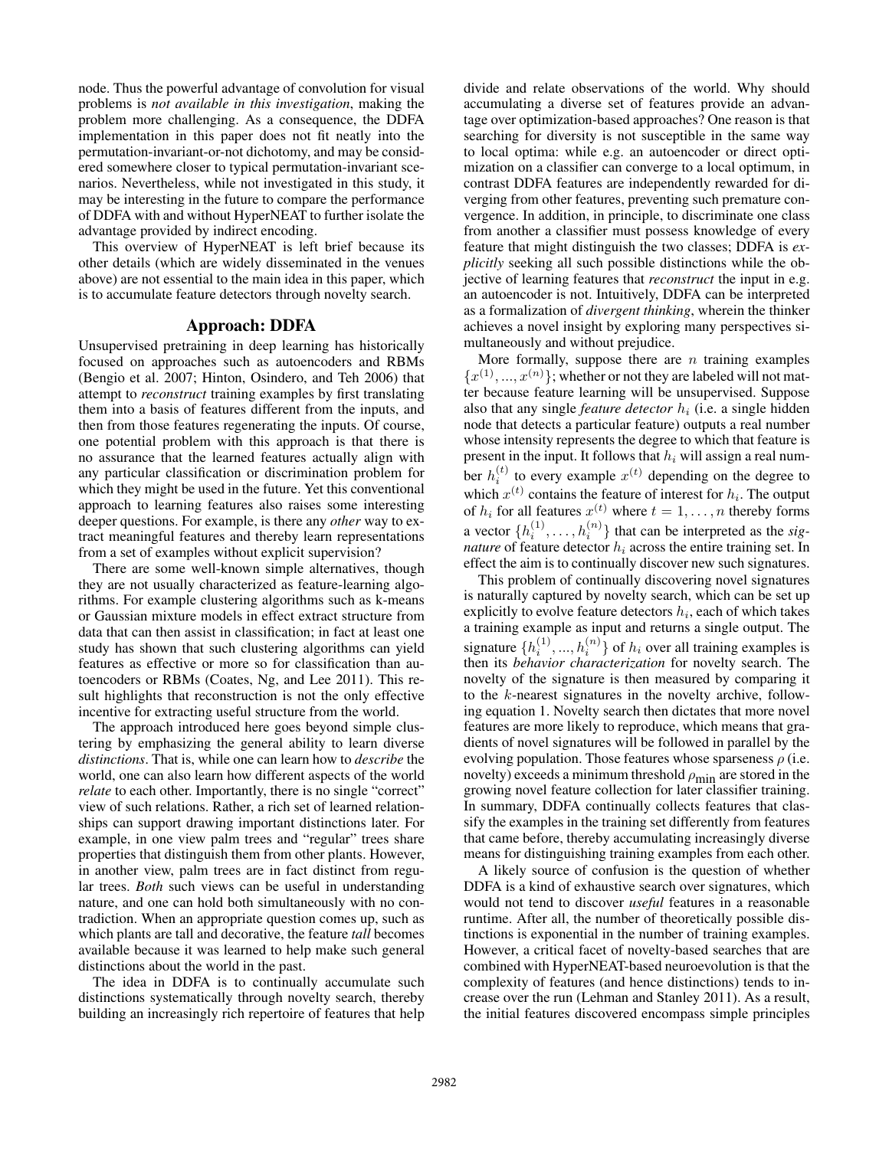node. Thus the powerful advantage of convolution for visual problems is *not available in this investigation*, making the problem more challenging. As a consequence, the DDFA implementation in this paper does not fit neatly into the permutation-invariant-or-not dichotomy, and may be considered somewhere closer to typical permutation-invariant scenarios. Nevertheless, while not investigated in this study, it may be interesting in the future to compare the performance of DDFA with and without HyperNEAT to further isolate the advantage provided by indirect encoding.

This overview of HyperNEAT is left brief because its other details (which are widely disseminated in the venues above) are not essential to the main idea in this paper, which is to accumulate feature detectors through novelty search.

#### Approach: DDFA

Unsupervised pretraining in deep learning has historically focused on approaches such as autoencoders and RBMs (Bengio et al. 2007; Hinton, Osindero, and Teh 2006) that attempt to *reconstruct* training examples by first translating them into a basis of features different from the inputs, and then from those features regenerating the inputs. Of course, one potential problem with this approach is that there is no assurance that the learned features actually align with any particular classification or discrimination problem for which they might be used in the future. Yet this conventional approach to learning features also raises some interesting deeper questions. For example, is there any *other* way to extract meaningful features and thereby learn representations from a set of examples without explicit supervision?

There are some well-known simple alternatives, though they are not usually characterized as feature-learning algorithms. For example clustering algorithms such as k-means or Gaussian mixture models in effect extract structure from data that can then assist in classification; in fact at least one study has shown that such clustering algorithms can yield features as effective or more so for classification than autoencoders or RBMs (Coates, Ng, and Lee 2011). This result highlights that reconstruction is not the only effective incentive for extracting useful structure from the world.

The approach introduced here goes beyond simple clustering by emphasizing the general ability to learn diverse *distinctions*. That is, while one can learn how to *describe* the world, one can also learn how different aspects of the world *relate* to each other. Importantly, there is no single "correct" view of such relations. Rather, a rich set of learned relationships can support drawing important distinctions later. For example, in one view palm trees and "regular" trees share properties that distinguish them from other plants. However, in another view, palm trees are in fact distinct from regular trees. *Both* such views can be useful in understanding nature, and one can hold both simultaneously with no contradiction. When an appropriate question comes up, such as which plants are tall and decorative, the feature *tall* becomes available because it was learned to help make such general distinctions about the world in the past.

The idea in DDFA is to continually accumulate such distinctions systematically through novelty search, thereby building an increasingly rich repertoire of features that help

divide and relate observations of the world. Why should accumulating a diverse set of features provide an advantage over optimization-based approaches? One reason is that searching for diversity is not susceptible in the same way to local optima: while e.g. an autoencoder or direct optimization on a classifier can converge to a local optimum, in contrast DDFA features are independently rewarded for diverging from other features, preventing such premature convergence. In addition, in principle, to discriminate one class from another a classifier must possess knowledge of every feature that might distinguish the two classes; DDFA is *explicitly* seeking all such possible distinctions while the objective of learning features that *reconstruct* the input in e.g. an autoencoder is not. Intuitively, DDFA can be interpreted as a formalization of *divergent thinking*, wherein the thinker achieves a novel insight by exploring many perspectives simultaneously and without prejudice.

More formally, suppose there are  $n$  training examples  $\{x^{(1)},...,x^{(n)}\}$ ; whether or not they are labeled will not matter because feature learning will be unsupervised. Suppose also that any single *feature detector*  $h_i$  (i.e. a single hidden node that detects a particular feature) outputs a real number whose intensity represents the degree to which that feature is present in the input. It follows that  $h_i$  will assign a real number  $h_i^{(t)}$  to every example  $x^{(t)}$  depending on the degree to which  $x^{(t)}$  contains the feature of interest for  $h_i$ . The output of  $h_i$  for all features  $x^{(t)}$  where  $t = 1, \ldots, n$  thereby forms a vector  $\{h_i^{(1)}, \ldots, h_i^{(n)}\}$  that can be interpreted as the *signature* of feature detector  $h_i$  across the entire training set. In effect the aim is to continually discover new such signatures.

This problem of continually discovering novel signatures is naturally captured by novelty search, which can be set up explicitly to evolve feature detectors  $h_i$ , each of which takes a training example as input and returns a single output. The signature  $\{h_i^{(1)},...,h_i^{(n)}\}$  of  $h_i$  over all training examples is then its *behavior characterization* for novelty search. The novelty of the signature is then measured by comparing it to the k-nearest signatures in the novelty archive, following equation 1. Novelty search then dictates that more novel features are more likely to reproduce, which means that gradients of novel signatures will be followed in parallel by the evolving population. Those features whose sparseness  $\rho$  (i.e. novelty) exceeds a minimum threshold  $\rho_{\text{min}}$  are stored in the growing novel feature collection for later classifier training. In summary, DDFA continually collects features that classify the examples in the training set differently from features that came before, thereby accumulating increasingly diverse means for distinguishing training examples from each other.

A likely source of confusion is the question of whether DDFA is a kind of exhaustive search over signatures, which would not tend to discover *useful* features in a reasonable runtime. After all, the number of theoretically possible distinctions is exponential in the number of training examples. However, a critical facet of novelty-based searches that are combined with HyperNEAT-based neuroevolution is that the complexity of features (and hence distinctions) tends to increase over the run (Lehman and Stanley 2011). As a result, the initial features discovered encompass simple principles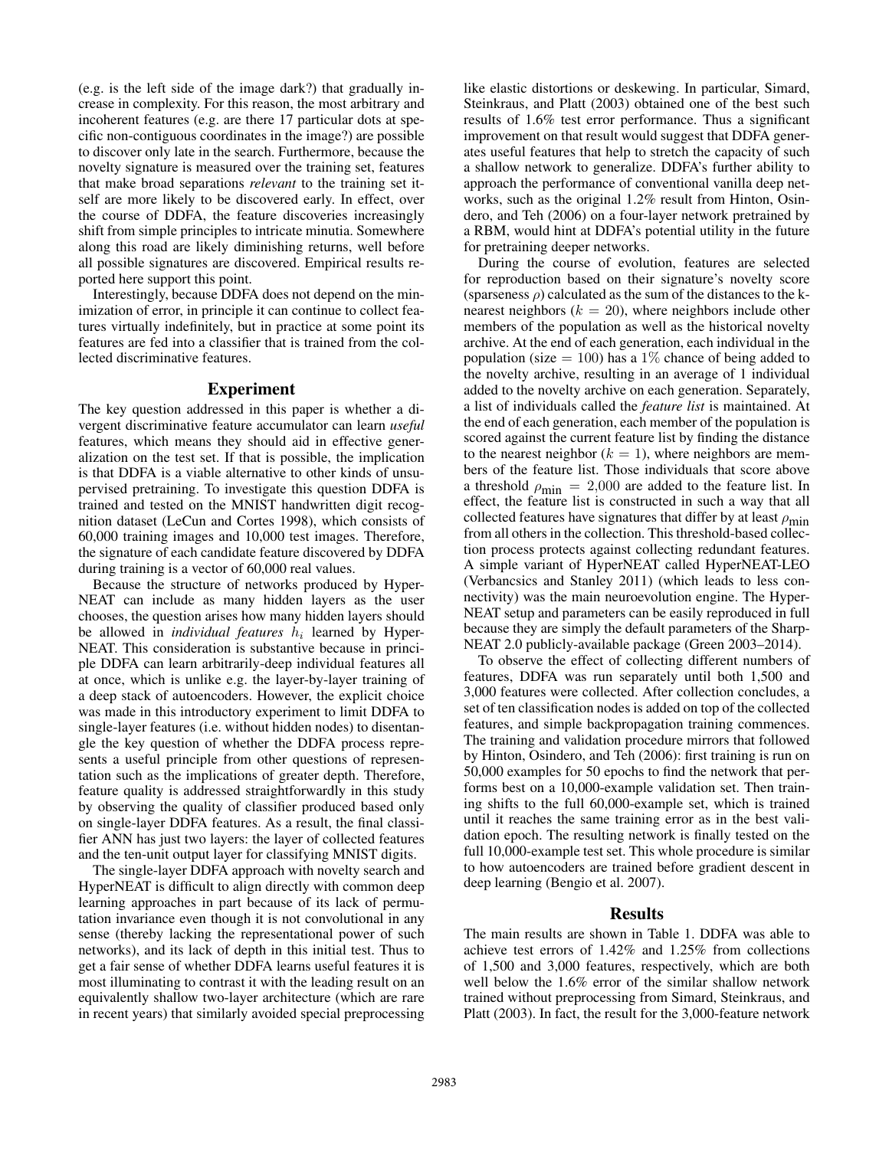(e.g. is the left side of the image dark?) that gradually increase in complexity. For this reason, the most arbitrary and incoherent features (e.g. are there 17 particular dots at specific non-contiguous coordinates in the image?) are possible to discover only late in the search. Furthermore, because the novelty signature is measured over the training set, features that make broad separations *relevant* to the training set itself are more likely to be discovered early. In effect, over the course of DDFA, the feature discoveries increasingly shift from simple principles to intricate minutia. Somewhere along this road are likely diminishing returns, well before all possible signatures are discovered. Empirical results reported here support this point.

Interestingly, because DDFA does not depend on the minimization of error, in principle it can continue to collect features virtually indefinitely, but in practice at some point its features are fed into a classifier that is trained from the collected discriminative features.

#### Experiment

The key question addressed in this paper is whether a divergent discriminative feature accumulator can learn *useful* features, which means they should aid in effective generalization on the test set. If that is possible, the implication is that DDFA is a viable alternative to other kinds of unsupervised pretraining. To investigate this question DDFA is trained and tested on the MNIST handwritten digit recognition dataset (LeCun and Cortes 1998), which consists of 60,000 training images and 10,000 test images. Therefore, the signature of each candidate feature discovered by DDFA during training is a vector of 60,000 real values.

Because the structure of networks produced by Hyper-NEAT can include as many hidden layers as the user chooses, the question arises how many hidden layers should be allowed in *individual features*  $h_i$  learned by Hyper-NEAT. This consideration is substantive because in principle DDFA can learn arbitrarily-deep individual features all at once, which is unlike e.g. the layer-by-layer training of a deep stack of autoencoders. However, the explicit choice was made in this introductory experiment to limit DDFA to single-layer features (i.e. without hidden nodes) to disentangle the key question of whether the DDFA process represents a useful principle from other questions of representation such as the implications of greater depth. Therefore, feature quality is addressed straightforwardly in this study by observing the quality of classifier produced based only on single-layer DDFA features. As a result, the final classifier ANN has just two layers: the layer of collected features and the ten-unit output layer for classifying MNIST digits.

The single-layer DDFA approach with novelty search and HyperNEAT is difficult to align directly with common deep learning approaches in part because of its lack of permutation invariance even though it is not convolutional in any sense (thereby lacking the representational power of such networks), and its lack of depth in this initial test. Thus to get a fair sense of whether DDFA learns useful features it is most illuminating to contrast it with the leading result on an equivalently shallow two-layer architecture (which are rare in recent years) that similarly avoided special preprocessing

like elastic distortions or deskewing. In particular, Simard, Steinkraus, and Platt (2003) obtained one of the best such results of 1.6% test error performance. Thus a significant improvement on that result would suggest that DDFA generates useful features that help to stretch the capacity of such a shallow network to generalize. DDFA's further ability to approach the performance of conventional vanilla deep networks, such as the original 1.2% result from Hinton, Osindero, and Teh (2006) on a four-layer network pretrained by a RBM, would hint at DDFA's potential utility in the future for pretraining deeper networks.

During the course of evolution, features are selected for reproduction based on their signature's novelty score (sparseness  $\rho$ ) calculated as the sum of the distances to the knearest neighbors ( $k = 20$ ), where neighbors include other members of the population as well as the historical novelty archive. At the end of each generation, each individual in the population (size  $= 100$ ) has a 1% chance of being added to the novelty archive, resulting in an average of 1 individual added to the novelty archive on each generation. Separately, a list of individuals called the *feature list* is maintained. At the end of each generation, each member of the population is scored against the current feature list by finding the distance to the nearest neighbor  $(k = 1)$ , where neighbors are members of the feature list. Those individuals that score above a threshold  $\rho_{\text{min}} = 2,000$  are added to the feature list. In effect, the feature list is constructed in such a way that all collected features have signatures that differ by at least  $\rho_{\text{min}}$ from all others in the collection. This threshold-based collection process protects against collecting redundant features. A simple variant of HyperNEAT called HyperNEAT-LEO (Verbancsics and Stanley 2011) (which leads to less connectivity) was the main neuroevolution engine. The Hyper-NEAT setup and parameters can be easily reproduced in full because they are simply the default parameters of the Sharp-NEAT 2.0 publicly-available package (Green 2003–2014).

To observe the effect of collecting different numbers of features, DDFA was run separately until both 1,500 and 3,000 features were collected. After collection concludes, a set of ten classification nodes is added on top of the collected features, and simple backpropagation training commences. The training and validation procedure mirrors that followed by Hinton, Osindero, and Teh (2006): first training is run on 50,000 examples for 50 epochs to find the network that performs best on a 10,000-example validation set. Then training shifts to the full 60,000-example set, which is trained until it reaches the same training error as in the best validation epoch. The resulting network is finally tested on the full 10,000-example test set. This whole procedure is similar to how autoencoders are trained before gradient descent in deep learning (Bengio et al. 2007).

#### Results

The main results are shown in Table 1. DDFA was able to achieve test errors of 1.42% and 1.25% from collections of 1,500 and 3,000 features, respectively, which are both well below the 1.6% error of the similar shallow network trained without preprocessing from Simard, Steinkraus, and Platt (2003). In fact, the result for the 3,000-feature network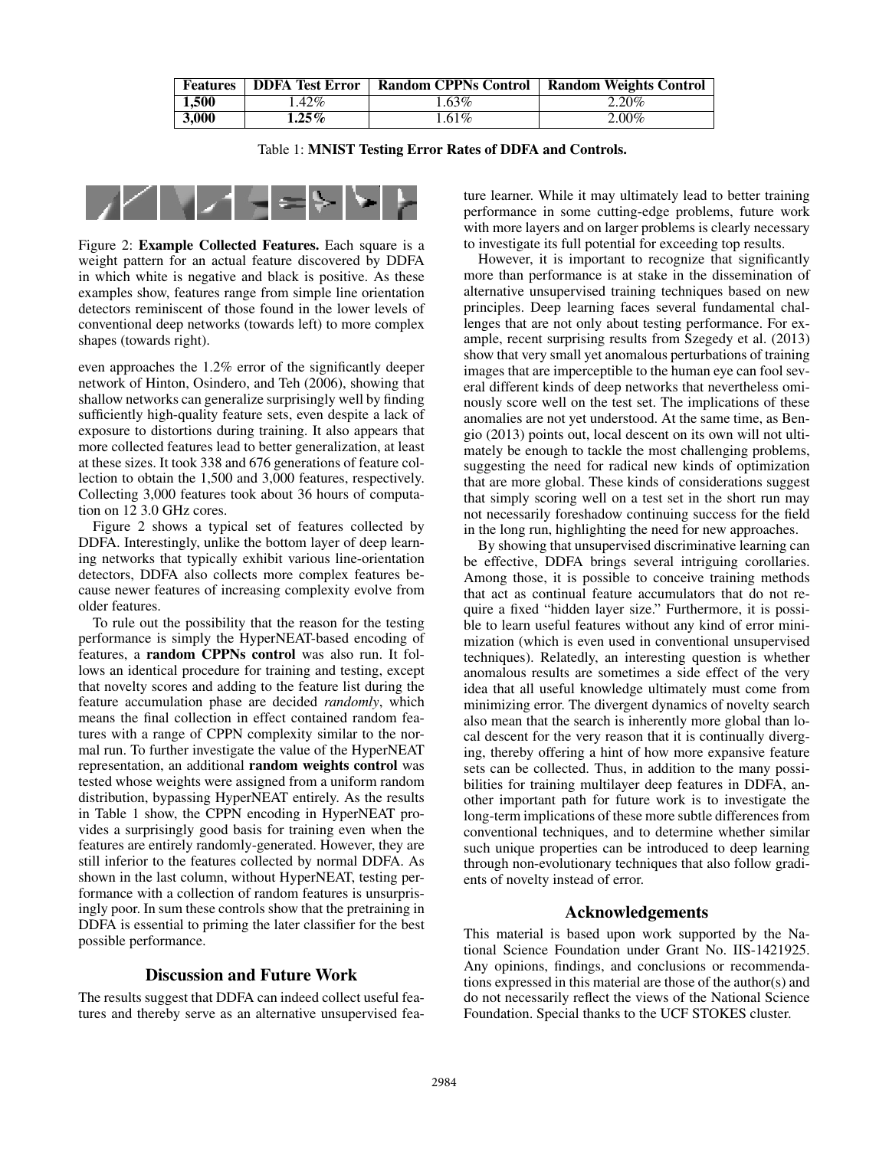| <b>Features</b> | <b>DDFA Test Error</b> | <b>Random CPPNs Control</b> | <b>Random Weights Control</b> |
|-----------------|------------------------|-----------------------------|-------------------------------|
| 1.500           | .42%                   | 63%                         | 2.20%                         |
| 3.000           | $1.25\%$               | $.61\%$                     | $2.00\%$                      |

Table 1: MNIST Testing Error Rates of DDFA and Controls.



Figure 2: Example Collected Features. Each square is a weight pattern for an actual feature discovered by DDFA in which white is negative and black is positive. As these examples show, features range from simple line orientation detectors reminiscent of those found in the lower levels of conventional deep networks (towards left) to more complex shapes (towards right).

even approaches the 1.2% error of the significantly deeper network of Hinton, Osindero, and Teh (2006), showing that shallow networks can generalize surprisingly well by finding sufficiently high-quality feature sets, even despite a lack of exposure to distortions during training. It also appears that more collected features lead to better generalization, at least at these sizes. It took 338 and 676 generations of feature collection to obtain the 1,500 and 3,000 features, respectively. Collecting 3,000 features took about 36 hours of computation on 12 3.0 GHz cores.

Figure 2 shows a typical set of features collected by DDFA. Interestingly, unlike the bottom layer of deep learning networks that typically exhibit various line-orientation detectors, DDFA also collects more complex features because newer features of increasing complexity evolve from older features.

To rule out the possibility that the reason for the testing performance is simply the HyperNEAT-based encoding of features, a random CPPNs control was also run. It follows an identical procedure for training and testing, except that novelty scores and adding to the feature list during the feature accumulation phase are decided *randomly*, which means the final collection in effect contained random features with a range of CPPN complexity similar to the normal run. To further investigate the value of the HyperNEAT representation, an additional random weights control was tested whose weights were assigned from a uniform random distribution, bypassing HyperNEAT entirely. As the results in Table 1 show, the CPPN encoding in HyperNEAT provides a surprisingly good basis for training even when the features are entirely randomly-generated. However, they are still inferior to the features collected by normal DDFA. As shown in the last column, without HyperNEAT, testing performance with a collection of random features is unsurprisingly poor. In sum these controls show that the pretraining in DDFA is essential to priming the later classifier for the best possible performance.

## Discussion and Future Work

The results suggest that DDFA can indeed collect useful features and thereby serve as an alternative unsupervised fea-

ture learner. While it may ultimately lead to better training performance in some cutting-edge problems, future work with more layers and on larger problems is clearly necessary to investigate its full potential for exceeding top results.

However, it is important to recognize that significantly more than performance is at stake in the dissemination of alternative unsupervised training techniques based on new principles. Deep learning faces several fundamental challenges that are not only about testing performance. For example, recent surprising results from Szegedy et al. (2013) show that very small yet anomalous perturbations of training images that are imperceptible to the human eye can fool several different kinds of deep networks that nevertheless ominously score well on the test set. The implications of these anomalies are not yet understood. At the same time, as Bengio (2013) points out, local descent on its own will not ultimately be enough to tackle the most challenging problems, suggesting the need for radical new kinds of optimization that are more global. These kinds of considerations suggest that simply scoring well on a test set in the short run may not necessarily foreshadow continuing success for the field in the long run, highlighting the need for new approaches.

By showing that unsupervised discriminative learning can be effective, DDFA brings several intriguing corollaries. Among those, it is possible to conceive training methods that act as continual feature accumulators that do not require a fixed "hidden layer size." Furthermore, it is possible to learn useful features without any kind of error minimization (which is even used in conventional unsupervised techniques). Relatedly, an interesting question is whether anomalous results are sometimes a side effect of the very idea that all useful knowledge ultimately must come from minimizing error. The divergent dynamics of novelty search also mean that the search is inherently more global than local descent for the very reason that it is continually diverging, thereby offering a hint of how more expansive feature sets can be collected. Thus, in addition to the many possibilities for training multilayer deep features in DDFA, another important path for future work is to investigate the long-term implications of these more subtle differences from conventional techniques, and to determine whether similar such unique properties can be introduced to deep learning through non-evolutionary techniques that also follow gradients of novelty instead of error.

#### Acknowledgements

This material is based upon work supported by the National Science Foundation under Grant No. IIS-1421925. Any opinions, findings, and conclusions or recommendations expressed in this material are those of the author(s) and do not necessarily reflect the views of the National Science Foundation. Special thanks to the UCF STOKES cluster.